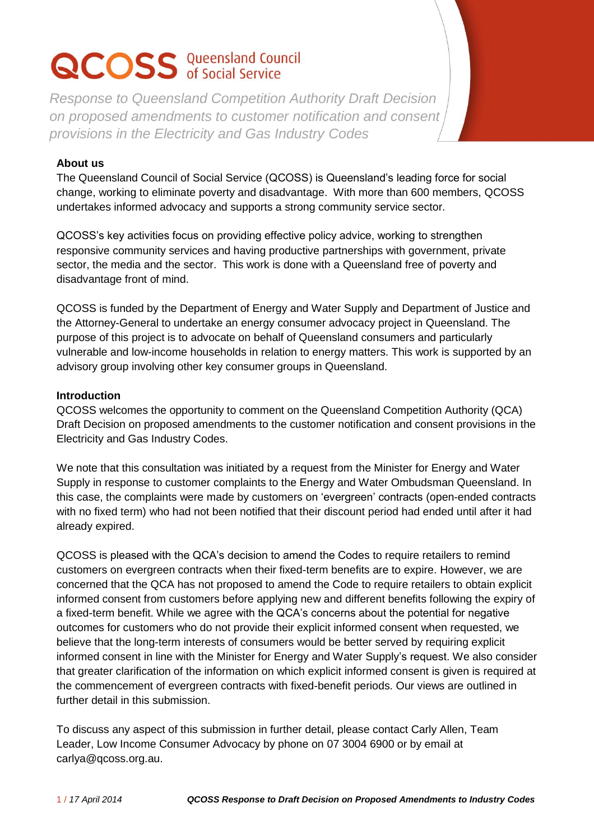# **QCOSS** Queensland Council

*Response to Queensland Competition Authority Draft Decision on proposed amendments to customer notification and consent provisions in the Electricity and Gas Industry Codes* 

# **About us**

The Queensland Council of Social Service (QCOSS) is Queensland's leading force for social change, working to eliminate poverty and disadvantage. With more than 600 members, QCOSS undertakes informed advocacy and supports a strong community service sector.

QCOSS's key activities focus on providing effective policy advice, working to strengthen responsive community services and having productive partnerships with government, private sector, the media and the sector. This work is done with a Queensland free of poverty and disadvantage front of mind.

QCOSS is funded by the Department of Energy and Water Supply and Department of Justice and the Attorney-General to undertake an energy consumer advocacy project in Queensland. The purpose of this project is to advocate on behalf of Queensland consumers and particularly vulnerable and low-income households in relation to energy matters. This work is supported by an advisory group involving other key consumer groups in Queensland.

# **Introduction**

QCOSS welcomes the opportunity to comment on the Queensland Competition Authority (QCA) Draft Decision on proposed amendments to the customer notification and consent provisions in the Electricity and Gas Industry Codes.

We note that this consultation was initiated by a request from the Minister for Energy and Water Supply in response to customer complaints to the Energy and Water Ombudsman Queensland. In this case, the complaints were made by customers on 'evergreen' contracts (open-ended contracts with no fixed term) who had not been notified that their discount period had ended until after it had already expired.

QCOSS is pleased with the QCA's decision to amend the Codes to require retailers to remind customers on evergreen contracts when their fixed-term benefits are to expire. However, we are concerned that the QCA has not proposed to amend the Code to require retailers to obtain explicit informed consent from customers before applying new and different benefits following the expiry of a fixed-term benefit. While we agree with the QCA's concerns about the potential for negative outcomes for customers who do not provide their explicit informed consent when requested, we believe that the long-term interests of consumers would be better served by requiring explicit informed consent in line with the Minister for Energy and Water Supply's request. We also consider that greater clarification of the information on which explicit informed consent is given is required at the commencement of evergreen contracts with fixed-benefit periods. Our views are outlined in further detail in this submission.

To discuss any aspect of this submission in further detail, please contact Carly Allen, Team Leader, Low Income Consumer Advocacy by phone on 07 3004 6900 or by email at carlya@qcoss.org.au.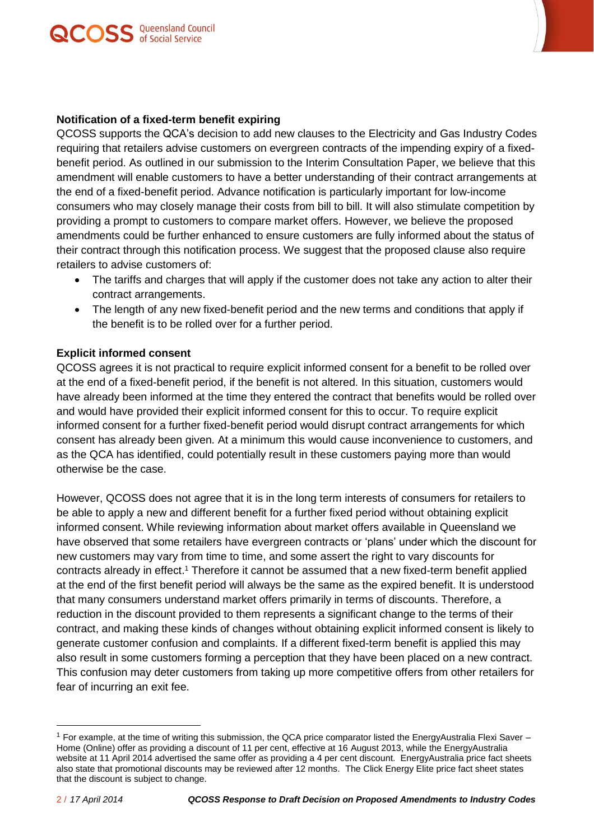



QCOSS supports the QCA's decision to add new clauses to the Electricity and Gas Industry Codes requiring that retailers advise customers on evergreen contracts of the impending expiry of a fixedbenefit period. As outlined in our submission to the Interim Consultation Paper, we believe that this amendment will enable customers to have a better understanding of their contract arrangements at the end of a fixed-benefit period. Advance notification is particularly important for low-income consumers who may closely manage their costs from bill to bill. It will also stimulate competition by providing a prompt to customers to compare market offers. However, we believe the proposed amendments could be further enhanced to ensure customers are fully informed about the status of their contract through this notification process. We suggest that the proposed clause also require retailers to advise customers of:

- The tariffs and charges that will apply if the customer does not take any action to alter their contract arrangements.
- The length of any new fixed-benefit period and the new terms and conditions that apply if the benefit is to be rolled over for a further period.

#### **Explicit informed consent**

QCOSS agrees it is not practical to require explicit informed consent for a benefit to be rolled over at the end of a fixed-benefit period, if the benefit is not altered. In this situation, customers would have already been informed at the time they entered the contract that benefits would be rolled over and would have provided their explicit informed consent for this to occur. To require explicit informed consent for a further fixed-benefit period would disrupt contract arrangements for which consent has already been given. At a minimum this would cause inconvenience to customers, and as the QCA has identified, could potentially result in these customers paying more than would otherwise be the case.

However, QCOSS does not agree that it is in the long term interests of consumers for retailers to be able to apply a new and different benefit for a further fixed period without obtaining explicit informed consent. While reviewing information about market offers available in Queensland we have observed that some retailers have evergreen contracts or 'plans' under which the discount for new customers may vary from time to time, and some assert the right to vary discounts for contracts already in effect. <sup>1</sup> Therefore it cannot be assumed that a new fixed-term benefit applied at the end of the first benefit period will always be the same as the expired benefit. It is understood that many consumers understand market offers primarily in terms of discounts. Therefore, a reduction in the discount provided to them represents a significant change to the terms of their contract, and making these kinds of changes without obtaining explicit informed consent is likely to generate customer confusion and complaints. If a different fixed-term benefit is applied this may also result in some customers forming a perception that they have been placed on a new contract. This confusion may deter customers from taking up more competitive offers from other retailers for fear of incurring an exit fee.

 $\overline{a}$ 

<sup>1</sup> For example, at the time of writing this submission, the QCA price comparator listed the EnergyAustralia Flexi Saver – Home (Online) offer as providing a discount of 11 per cent, effective at 16 August 2013, while the EnergyAustralia website at 11 April 2014 advertised the same offer as providing a 4 per cent discount. EnergyAustralia price fact sheets also state that promotional discounts may be reviewed after 12 months. The Click Energy Elite price fact sheet states that the discount is subject to change.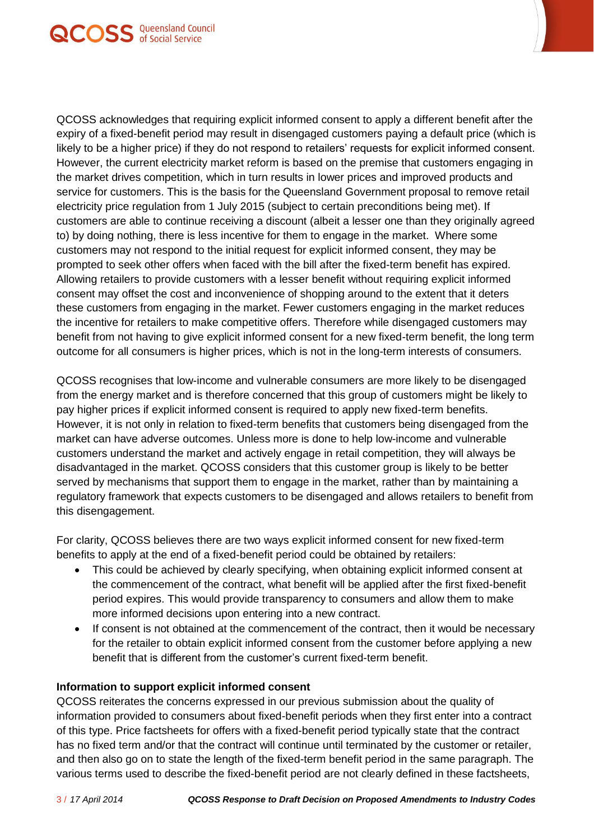

QCOSS acknowledges that requiring explicit informed consent to apply a different benefit after the expiry of a fixed-benefit period may result in disengaged customers paying a default price (which is likely to be a higher price) if they do not respond to retailers' requests for explicit informed consent. However, the current electricity market reform is based on the premise that customers engaging in the market drives competition, which in turn results in lower prices and improved products and service for customers. This is the basis for the Queensland Government proposal to remove retail electricity price regulation from 1 July 2015 (subject to certain preconditions being met). If customers are able to continue receiving a discount (albeit a lesser one than they originally agreed to) by doing nothing, there is less incentive for them to engage in the market. Where some customers may not respond to the initial request for explicit informed consent, they may be prompted to seek other offers when faced with the bill after the fixed-term benefit has expired. Allowing retailers to provide customers with a lesser benefit without requiring explicit informed consent may offset the cost and inconvenience of shopping around to the extent that it deters these customers from engaging in the market. Fewer customers engaging in the market reduces the incentive for retailers to make competitive offers. Therefore while disengaged customers may benefit from not having to give explicit informed consent for a new fixed-term benefit, the long term outcome for all consumers is higher prices, which is not in the long-term interests of consumers.

QCOSS recognises that low-income and vulnerable consumers are more likely to be disengaged from the energy market and is therefore concerned that this group of customers might be likely to pay higher prices if explicit informed consent is required to apply new fixed-term benefits. However, it is not only in relation to fixed-term benefits that customers being disengaged from the market can have adverse outcomes. Unless more is done to help low-income and vulnerable customers understand the market and actively engage in retail competition, they will always be disadvantaged in the market. QCOSS considers that this customer group is likely to be better served by mechanisms that support them to engage in the market, rather than by maintaining a regulatory framework that expects customers to be disengaged and allows retailers to benefit from this disengagement.

For clarity, QCOSS believes there are two ways explicit informed consent for new fixed-term benefits to apply at the end of a fixed-benefit period could be obtained by retailers:

- This could be achieved by clearly specifying, when obtaining explicit informed consent at the commencement of the contract, what benefit will be applied after the first fixed-benefit period expires. This would provide transparency to consumers and allow them to make more informed decisions upon entering into a new contract.
- If consent is not obtained at the commencement of the contract, then it would be necessary for the retailer to obtain explicit informed consent from the customer before applying a new benefit that is different from the customer's current fixed-term benefit.

## **Information to support explicit informed consent**

QCOSS reiterates the concerns expressed in our previous submission about the quality of information provided to consumers about fixed-benefit periods when they first enter into a contract of this type. Price factsheets for offers with a fixed-benefit period typically state that the contract has no fixed term and/or that the contract will continue until terminated by the customer or retailer, and then also go on to state the length of the fixed-term benefit period in the same paragraph. The various terms used to describe the fixed-benefit period are not clearly defined in these factsheets,